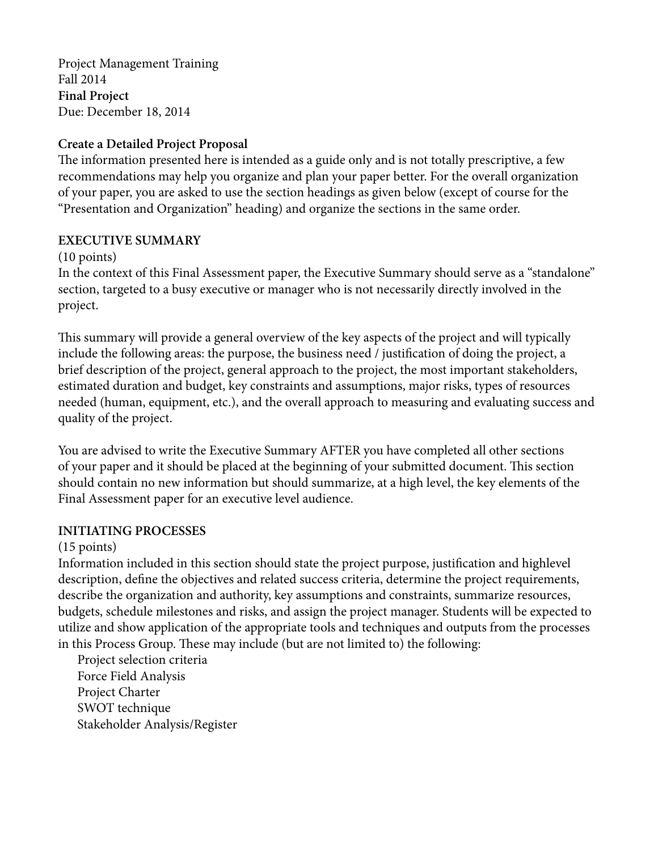Project Management Training Fall 2014 **Final Project** Due: December 18, 2014

### **Create a Detailed Project Proposal**

The information presented here is intended as a guide only and is not totally prescriptive, a few recommendations may help you organize and plan your paper better. For the overall organization of your paper, you are asked to use the section headings as given below (except of course for the "Presentation and Organization" heading) and organize the sections in the same order.

### **EXECUTIVE SUMMARY**

#### (10 points)

In the context of this Final Assessment paper, the Executive Summary should serve as a "standalone" section, targeted to a busy executive or manager who is not necessarily directly involved in the project.

This summary will provide a general overview of the key aspects of the project and will typically include the following areas: the purpose, the business need / justification of doing the project, a brief description of the project, general approach to the project, the most important stakeholders, estimated duration and budget, key constraints and assumptions, major risks, types of resources needed (human, equipment, etc.), and the overall approach to measuring and evaluating success and quality of the project.

You are advised to write the Executive Summary AFTER you have completed all other sections of your paper and it should be placed at the beginning of your submitted document. This section should contain no new information but should summarize, at a high level, the key elements of the Final Assessment paper for an executive level audience.

#### **INITIATING PROCESSES**

# (15 points)

Information included in this section should state the project purpose, justification and highlevel description, define the objectives and related success criteria, determine the project requirements, describe the organization and authority, key assumptions and constraints, summarize resources, budgets, schedule milestones and risks, and assign the project manager. Students will be expected to utilize and show application of the appropriate tools and techniques and outputs from the processes in this Process Group. These may include (but are not limited to) the following:

Project selection criteria Force Field Analysis Project Charter SWOT technique Stakeholder Analysis/Register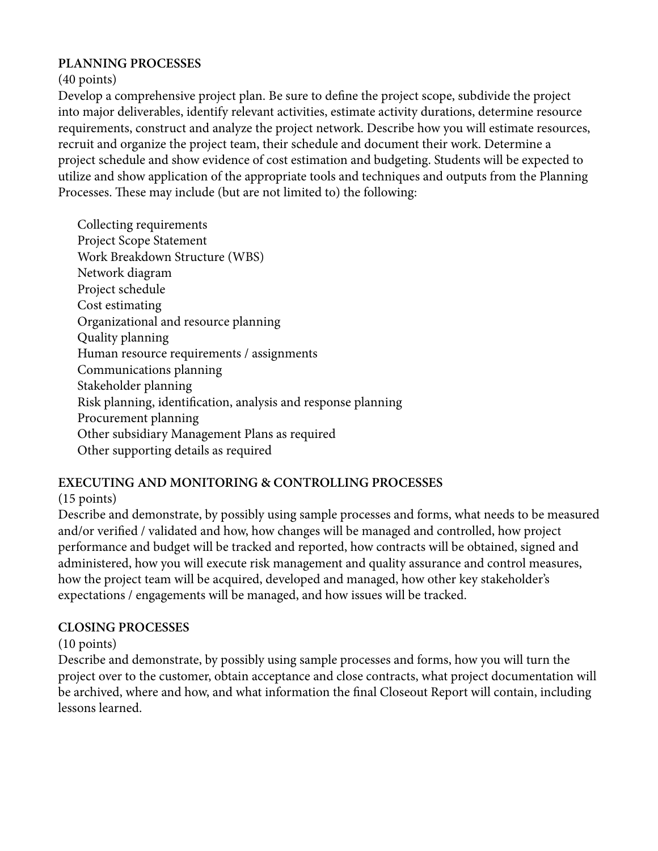### **PLANNING PROCESSES**

(40 points)

Develop a comprehensive project plan. Be sure to define the project scope, subdivide the project into major deliverables, identify relevant activities, estimate activity durations, determine resource requirements, construct and analyze the project network. Describe how you will estimate resources, recruit and organize the project team, their schedule and document their work. Determine a project schedule and show evidence of cost estimation and budgeting. Students will be expected to utilize and show application of the appropriate tools and techniques and outputs from the Planning Processes. These may include (but are not limited to) the following:

Collecting requirements Project Scope Statement Work Breakdown Structure (WBS) Network diagram Project schedule Cost estimating Organizational and resource planning Quality planning Human resource requirements / assignments Communications planning Stakeholder planning Risk planning, identification, analysis and response planning Procurement planning Other subsidiary Management Plans as required Other supporting details as required

# **EXECUTING AND MONITORING & CONTROLLING PROCESSES**

# (15 points)

Describe and demonstrate, by possibly using sample processes and forms, what needs to be measured and/or verified / validated and how, how changes will be managed and controlled, how project performance and budget will be tracked and reported, how contracts will be obtained, signed and administered, how you will execute risk management and quality assurance and control measures, how the project team will be acquired, developed and managed, how other key stakeholder's expectations / engagements will be managed, and how issues will be tracked.

# **CLOSING PROCESSES**

(10 points)

Describe and demonstrate, by possibly using sample processes and forms, how you will turn the project over to the customer, obtain acceptance and close contracts, what project documentation will be archived, where and how, and what information the final Closeout Report will contain, including lessons learned.